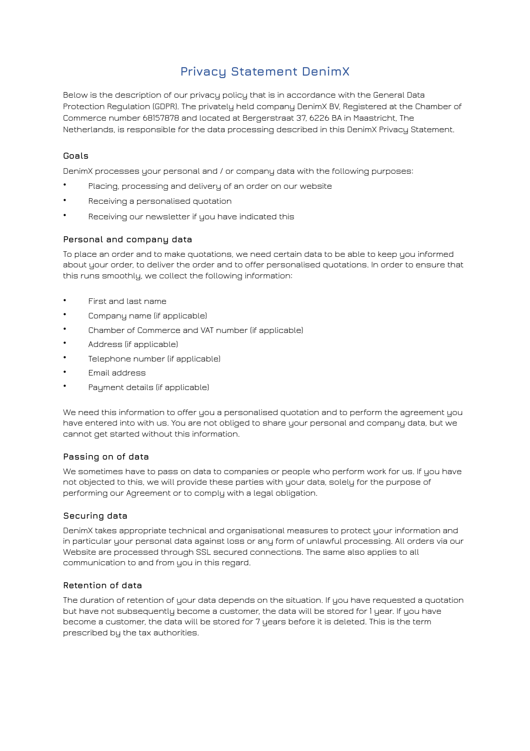# **Privacy Statement DenimX**

Below is the description of our privacy policy that is in accordance with the General Data Protection Regulation (GDPR). The privately held company DenimX BV, Registered at the Chamber of Commerce number 68157878 and located at Bergerstraat 37, 6226 BA in Maastricht, The Netherlands, is responsible for the data processing described in this DenimX Privacy Statement.

### **Goals**

DenimX processes your personal and / or company data with the following purposes:

- Placing, processing and delivery of an order on our website
- Receiving a personalised quotation
- Receiving our newsletter if you have indicated this

#### **Personal and company data**

To place an order and to make quotations, we need certain data to be able to keep you informed about your order, to deliver the order and to offer personalised quotations. In order to ensure that this runs smoothly, we collect the following information:

- First and last name
- Company name (if applicable)
- Chamber of Commerce and VAT number (if applicable)
- Address (if applicable)
- Telephone number (if applicable)
- Email address
- Payment details (if applicable)

We need this information to offer you a personalised quotation and to perform the agreement you have entered into with us. You are not obliged to share your personal and company data, but we cannot get started without this information.

#### **Passing on of data**

We sometimes have to pass on data to companies or people who perform work for us. If you have not objected to this, we will provide these parties with your data, solely for the purpose of performing our Agreement or to comply with a legal obligation.

#### **Securing data**

DenimX takes appropriate technical and organisational measures to protect your information and in particular your personal data against loss or any form of unlawful processing. All orders via our Website are processed through SSL secured connections. The same also applies to all communication to and from you in this regard.

#### **Retention of data**

The duration of retention of your data depends on the situation. If you have requested a quotation but have not subsequently become a customer, the data will be stored for 1 year. If you have become a customer, the data will be stored for 7 years before it is deleted. This is the term prescribed by the tax authorities.